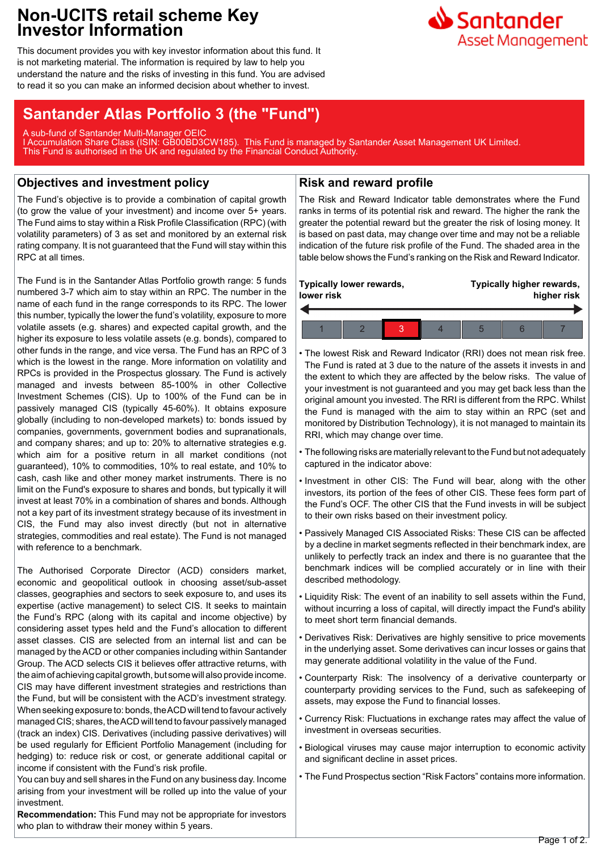## **Non-UCITS retail scheme Key Investor Information**

This document provides you with key investor information about this fund. It is not marketing material. The information is required by law to help you understand the nature and the risks of investing in this fund. You are advised to read it so you can make an informed decision about whether to invest.

# **Santander Atlas Portfolio 3 (the "Fund")**

A sub-fund of Santander Multi-Manager OEIC I Accumulation Share Class (ISIN: GB00BD3CW185). This Fund is managed by Santander Asset Management UK Limited. This Fund is authorised in the UK and regulated by the Financial Conduct Authority.

## **Objectives and investment policy**

The Fund's objective is to provide a combination of capital growth (to grow the value of your investment) and income over 5+ years. The Fund aims to stay within a Risk Profile Classification (RPC) (with volatility parameters) of 3 as set and monitored by an external risk rating company. It is not guaranteed that the Fund will stay within this RPC at all times.

The Fund is in the Santander Atlas Portfolio growth range: 5 funds numbered 3-7 which aim to stay within an RPC. The number in the name of each fund in the range corresponds to its RPC. The lower this number, typically the lower the fund's volatility, exposure to more volatile assets (e.g. shares) and expected capital growth, and the higher its exposure to less volatile assets (e.g. bonds), compared to other funds in the range, and vice versa. The Fund has an RPC of 3 which is the lowest in the range. More information on volatility and RPCs is provided in the Prospectus glossary. The Fund is actively managed and invests between 85-100% in other Collective Investment Schemes (CIS). Up to 100% of the Fund can be in passively managed CIS (typically 45-60%). It obtains exposure globally (including to non-developed markets) to: bonds issued by companies, governments, government bodies and supranationals, and company shares; and up to: 20% to alternative strategies e.g. which aim for a positive return in all market conditions (not guaranteed), 10% to commodities, 10% to real estate, and 10% to cash, cash like and other money market instruments. There is no limit on the Fund's exposure to shares and bonds, but typically it will invest at least 70% in a combination of shares and bonds. Although not a key part of its investment strategy because of its investment in CIS, the Fund may also invest directly (but not in alternative strategies, commodities and real estate). The Fund is not managed with reference to a benchmark.

The Authorised Corporate Director (ACD) considers market, economic and geopolitical outlook in choosing asset/sub-asset classes, geographies and sectors to seek exposure to, and uses its expertise (active management) to select CIS. It seeks to maintain the Fund's RPC (along with its capital and income objective) by considering asset types held and the Fund's allocation to different asset classes. CIS are selected from an internal list and can be managed by the ACD or other companies including within Santander Group. The ACD selects CIS it believes offer attractive returns, with the aim of achieving capital growth, but some will also provide income. CIS may have different investment strategies and restrictions than the Fund, but will be consistent with the ACD's investment strategy. When seeking exposure to: bonds, the ACD will tend to favour actively managed CIS; shares, the ACD will tend to favour passively managed (track an index) CIS. Derivatives (including passive derivatives) will be used regularly for Efficient Portfolio Management (including for hedging) to: reduce risk or cost, or generate additional capital or income if consistent with the Fund's risk profile.

You can buy and sell shares in the Fund on any business day. Income arising from your investment will be rolled up into the value of your investment.

## **Recommendation:** This Fund may not be appropriate for investors

who plan to withdraw their money within 5 years.

### **Risk and reward profile**

The Risk and Reward Indicator table demonstrates where the Fund ranks in terms of its potential risk and reward. The higher the rank the greater the potential reward but the greater the risk of losing money. It is based on past data, may change over time and may not be a reliable indication of the future risk profile of the Fund. The shaded area in the table below shows the Fund's ranking on the Risk and Reward Indicator.



• The lowest Risk and Reward Indicator (RRI) does not mean risk free. The Fund is rated at 3 due to the nature of the assets it invests in and the extent to which they are affected by the below risks. The value of your investment is not guaranteed and you may get back less than the original amount you invested. The RRI is different from the RPC. Whilst the Fund is managed with the aim to stay within an RPC (set and monitored by Distribution Technology), it is not managed to maintain its RRI, which may change over time.

- The following risks are materially relevant to the Fund but not adequately captured in the indicator above:
- Investment in other CIS: The Fund will bear, along with the other investors, its portion of the fees of other CIS. These fees form part of the Fund's OCF. The other CIS that the Fund invests in will be subject to their own risks based on their investment policy.
- Passively Managed CIS Associated Risks: These CIS can be affected by a decline in market segments reflected in their benchmark index, are unlikely to perfectly track an index and there is no guarantee that the benchmark indices will be complied accurately or in line with their described methodology.
- Liquidity Risk: The event of an inability to sell assets within the Fund, without incurring a loss of capital, will directly impact the Fund's ability to meet short term financial demands.
- Derivatives Risk: Derivatives are highly sensitive to price movements in the underlying asset. Some derivatives can incur losses or gains that may generate additional volatility in the value of the Fund.
- Counterparty Risk: The insolvency of a derivative counterparty or counterparty providing services to the Fund, such as safekeeping of assets, may expose the Fund to financial losses.
- Currency Risk: Fluctuations in exchange rates may affect the value of investment in overseas securities.
- Biological viruses may cause major interruption to economic activity and significant decline in asset prices.
- The Fund Prospectus section "Risk Factors" contains more information.